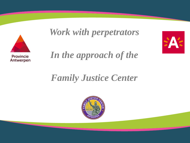

*Work with perpetrators*



*In the approach of the* 

# *Family Justice Center*



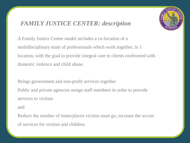## *FAMILY JUSTICE CENTER: description*



2 - 10/24/2016

A Family Justice Center model includes a co-location of a multidisciplinary team of professionals which work together, in 1 location, with the goal to provide integral care to clients confronted with domestic violence and child abuse.

Brings government and non-profit services together Public and private agencies assign staff members in order to provide services to victims

and

Reduce the number of times/places victims must go, increase the access of services for victims and children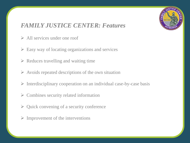

3 - 10/24/2016

## *FAMILY JUSTICE CENTER: Features*

- $\triangleright$  All services under one roof
- $\triangleright$  Easy way of locating organizations and services
- $\triangleright$  Reduces travelling and waiting time
- $\triangleright$  Avoids repeated descriptions of the own situation
- $\triangleright$  Interdisciplinary cooperation on an individual case-by-case basis
- $\triangleright$  Combines security related information
- $\triangleright$  Quick convening of a security conference
- $\triangleright$  Improvement of the interventions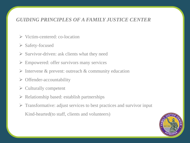#### *GUIDING PRINCIPLES OF A FAMILY JUSTICE CENTER*

- Victim-centered: co-location
- $\triangleright$  Safety-focused
- $\triangleright$  Survivor-driven: ask clients what they need
- Empowered: offer survivors many services
- $\triangleright$  Intervene & prevent: outreach & community education
- $\triangleright$  Offender-accountability
- $\triangleright$  Culturally competent
- $\triangleright$  Relationship based: establish partnerships
- $\triangleright$  Transformative: adjust services to best practices and survivor input Kind-hearted(to staff, clients and volunteers)

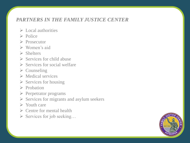#### *PARTNERS IN THE FAMILY JUSTICE CENTER*

- $\triangleright$  Local authorities
- $\triangleright$  Police
- $\triangleright$  Prosecutor
- Women's aid
- $\triangleright$  Shelters
- $\triangleright$  Services for child abuse
- $\triangleright$  Services for social welfare
- $\triangleright$  Counseling
- Medical services
- $\triangleright$  Services for housing
- $\triangleright$  Probation
- $\triangleright$  Perpetrator programs
- $\triangleright$  Services for migrants and asylum seekers
- $\triangleright$  Youth care
- $\triangleright$  Centre for mental health
- $\triangleright$  Services for job seeking...

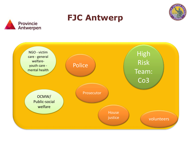

## **FJC Antwerp**



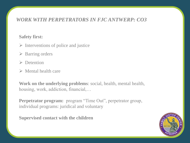#### *WORK WITH PERPETRATORS IN FJC ANTWERP: CO3*

#### **Safety first:**

- $\triangleright$  Interventions of police and justice
- $\triangleright$  Barring orders
- $\triangleright$  Detention
- $\triangleright$  Mental health care

**Work on the underlying problems**: social, health, mental health, housing, work, addiction, financial,...

**Perpetrator program:** program "Time Out", perpetrator group, individual programs: juridical and voluntary

**Supervised contact with the children**

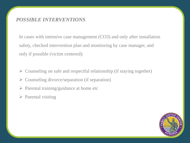#### *POSSIBLE INTERVENTIONS*

In cases with intensive case management (CO3) and only after installation safety, checked intervention plan and monitoring by case manager, and only if possible (victim centered):

- $\triangleright$  Counseling on safe and respectful relationship (if staying together)
- $\triangleright$  Counseling divorce/separation (if separation)
- $\triangleright$  Parental training/guidance at home etc
- $\triangleright$  Parental visiting

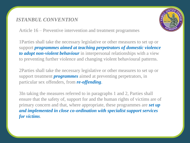#### *ISTANBUL CONVENTION*



9 - 10/24/2016

Article 16 – Preventive intervention and treatment programmes

1Parties shall take the necessary legislative or other measures to set up or support *programmes aimed at teaching perpetrators of domestic violence to adopt non-violent behaviour* in interpersonal relationships with a view to preventing further violence and changing violent behavioural patterns.

2Parties shall take the necessary legislative or other measures to set up or support treatment *programmes* aimed at preventing perpetrators, in particular sex offenders, from *re-offending*.

3In taking the measures referred to in paragraphs 1 and 2, Parties shall ensure that the safety of, support for and the human rights of victims are of primary concern and that, where appropriate, these programmes are *set up and implemented in close co-ordination with specialist support services for victims*.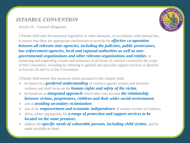#### *ISTANBUL CONVENTION*

Article 18 – General obligations

… 2 Parties shall take the necessary legislative or other measures, in accordance with internal law, to ensure that there are appropriate mechanisms to provide for *effective co-operation between all relevant state agencies, including the judiciary, public prosecutors, law enforcement agencies, local and regional authorities as well as nongovernmental organizations and other relevant organizations and entities*, in protecting and supporting victims and witnesses of all forms of violence covered by the scope of this Convention, including by referring to general and specialist support services as detailed in Articles 20 and 22 of this Convention.

3 Parties shall ensure that measures taken pursuant to this chapter shall:

- be based on a *gendered understanding* of violence against women and domestic violence and shall focus on the *human rights and safety of the victim*;
- be based on an *integrated approach* which takes into account *the relationship between victims, perpetrators, children and their wider social environment*;
- aim at *avoiding secondary victimization*;
- aim at the *empowerment and economic independence* of women victims of violence;
- allow, where appropriate, for *a range of protection and support services to be located on the same premises*;
- address the *specific needs of vulnerable persons, including child victims*, and be made available to them.



10 - 10/24/2016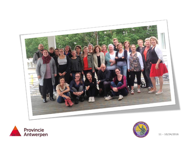





- 10/24/2016